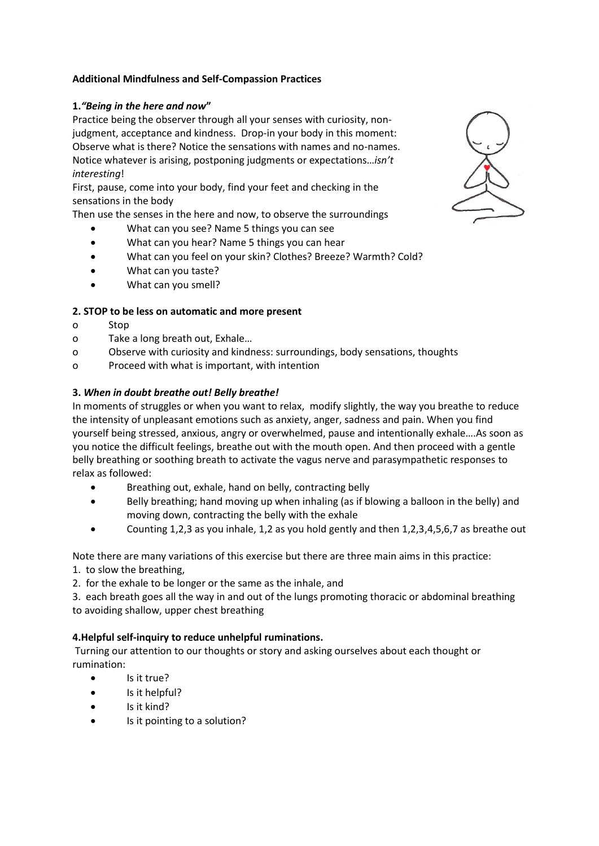## **Additional Mindfulness and Self-Compassion Practices**

# **1.***"Being in the here and now***"**

Practice being the observer through all your senses with curiosity, nonjudgment, acceptance and kindness. Drop-in your body in this moment: Observe what is there? Notice the sensations with names and no-names. Notice whatever is arising, postponing judgments or expectations…*isn't interesting*!

First, pause, come into your body, find your feet and checking in the sensations in the body

Then use the senses in the here and now, to observe the surroundings

- What can you see? Name 5 things you can see
- What can you hear? Name 5 things you can hear
- What can you feel on your skin? Clothes? Breeze? Warmth? Cold?
- What can you taste?
- What can you smell?

## **2. STOP to be less on automatic and more present**

- o Stop
- o Take a long breath out, Exhale…
- o Observe with curiosity and kindness: surroundings, body sensations, thoughts
- o Proceed with what is important, with intention

# **3.** *When in doubt breathe out! Belly breathe!*

In moments of struggles or when you want to relax, modify slightly, the way you breathe to reduce the intensity of unpleasant emotions such as anxiety, anger, sadness and pain. When you find yourself being stressed, anxious, angry or overwhelmed, pause and intentionally exhale….As soon as you notice the difficult feelings, breathe out with the mouth open. And then proceed with a gentle belly breathing or soothing breath to activate the vagus nerve and parasympathetic responses to relax as followed:

- Breathing out, exhale, hand on belly, contracting belly
- Belly breathing; hand moving up when inhaling (as if blowing a balloon in the belly) and moving down, contracting the belly with the exhale
- Counting 1,2,3 as you inhale, 1,2 as you hold gently and then 1,2,3,4,5,6,7 as breathe out

Note there are many variations of this exercise but there are three main aims in this practice:

- 1. to slow the breathing,
- 2. for the exhale to be longer or the same as the inhale, and

3. each breath goes all the way in and out of the lungs promoting thoracic or abdominal breathing to avoiding shallow, upper chest breathing

## **4.Helpful self-inquiry to reduce unhelpful ruminations.**

Turning our attention to our thoughts or story and asking ourselves about each thought or rumination:

- Is it true?
- Is it helpful?
- Is it kind?
- Is it pointing to a solution?